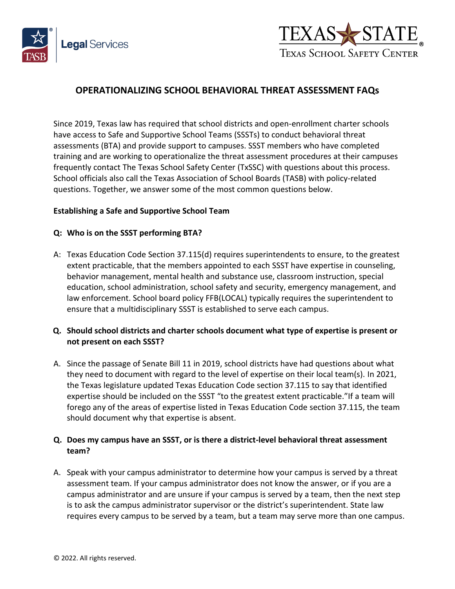



# **OPERATIONALIZING SCHOOL BEHAVIORAL THREAT ASSESSMENT FAQs**

Since 2019, Texas law has required that school districts and open-enrollment charter schools have access to Safe and Supportive School Teams (SSSTs) to conduct behavioral threat assessments (BTA) and provide support to campuses. SSST members who have completed training and are working to operationalize the threat assessment procedures at their campuses frequently contact The Texas School Safety Center (TxSSC) with questions about this process. School officials also call the Texas Association of School Boards (TASB) with policy-related questions. Together, we answer some of the most common questions below.

#### **Establishing a Safe and Supportive School Team**

#### **Q: Who is on the SSST performing BTA?**

A: Texas Education Code Section 37.115(d) requires superintendents to ensure, to the greatest extent practicable, that the members appointed to each SSST have expertise in counseling, behavior management, mental health and substance use, classroom instruction, special education, school administration, school safety and security, emergency management, and law enforcement. School board policy FFB(LOCAL) typically requires the superintendent to ensure that a multidisciplinary SSST is established to serve each campus.

### **Q. Should school districts and charter schools document what type of expertise is present or not present on each SSST?**

A. Since the passage of Senate Bill 11 in 2019, school districts have had questions about what they need to document with regard to the level of expertise on their local team(s). In 2021, the Texas legislature updated Texas Education Code section 37.115 to say that identified expertise should be included on the SSST "to the greatest extent practicable."If a team will forego any of the areas of expertise listed in Texas Education Code section 37.115, the team should document why that expertise is absent.

### **Q. Does my campus have an SSST, or is there a district-level behavioral threat assessment team?**

A. Speak with your campus administrator to determine how your campus is served by a threat assessment team. If your campus administrator does not know the answer, or if you are a campus administrator and are unsure if your campus is served by a team, then the next step is to ask the campus administrator supervisor or the district's superintendent. State law requires every campus to be served by a team, but a team may serve more than one campus.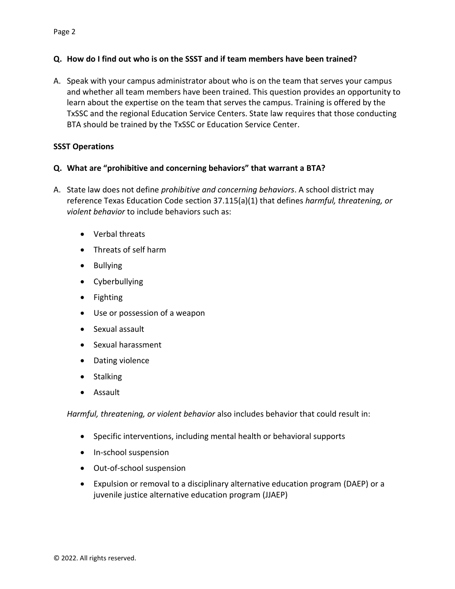### **Q. How do I find out who is on the SSST and if team members have been trained?**

A. Speak with your campus administrator about who is on the team that serves your campus and whether all team members have been trained. This question provides an opportunity to learn about the expertise on the team that serves the campus. Training is offered by the TxSSC and the regional Education Service Centers. State law requires that those conducting BTA should be trained by the TxSSC or Education Service Center.

### **SSST Operations**

### **Q. What are "prohibitive and concerning behaviors" that warrant a BTA?**

- A. State law does not define *prohibitive and concerning behaviors*. A school district may reference Texas Education Code section 37.115(a)(1) that defines *harmful, threatening, or violent behavior* to include behaviors such as:
	- Verbal threats
	- Threats of self harm
	- Bullying
	- Cyberbullying
	- Fighting
	- Use or possession of a weapon
	- Sexual assault
	- Sexual harassment
	- Dating violence
	- Stalking
	- Assault

*Harmful, threatening, or violent behavior* also includes behavior that could result in:

- Specific interventions, including mental health or behavioral supports
- In-school suspension
- Out-of-school suspension
- Expulsion or removal to a disciplinary alternative education program (DAEP) or a juvenile justice alternative education program (JJAEP)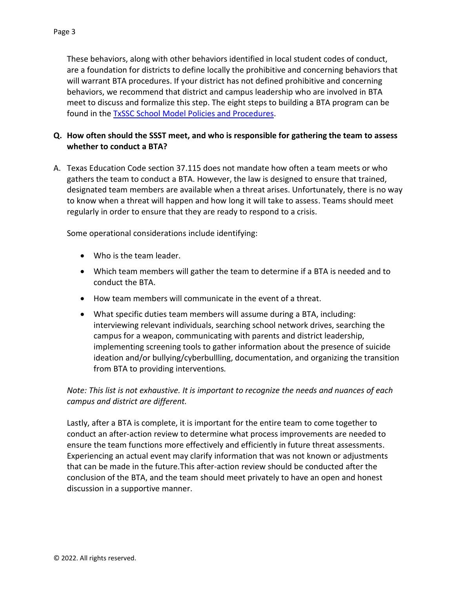These behaviors, along with other behaviors identified in local student codes of conduct, are a foundation for districts to define locally the prohibitive and concerning behaviors that will warrant BTA procedures. If your district has not defined prohibitive and concerning behaviors, we recommend that district and campus leadership who are involved in BTA meet to discuss and formalize this step. The eight steps to building a BTA program can be found in the **TxSSC School Model Policies and Procedures**.

## **Q. How often should the SSST meet, and who is responsible for gathering the team to assess whether to conduct a BTA?**

A. Texas Education Code section 37.115 does not mandate how often a team meets or who gathers the team to conduct a BTA. However, the law is designed to ensure that trained, designated team members are available when a threat arises. Unfortunately, there is no way to know when a threat will happen and how long it will take to assess. Teams should meet regularly in order to ensure that they are ready to respond to a crisis.

Some operational considerations include identifying:

- Who is the team leader.
- Which team members will gather the team to determine if a BTA is needed and to conduct the BTA.
- How team members will communicate in the event of a threat.
- What specific duties team members will assume during a BTA, including: interviewing relevant individuals, searching school network drives, searching the campus for a weapon, communicating with parents and district leadership, implementing screening tools to gather information about the presence of suicide ideation and/or bullying/cyberbullling, documentation, and organizing the transition from BTA to providing interventions*.*

## *Note: This list is not exhaustive. It is important to recognize the needs and nuances of each campus and district are different.*

Lastly, after a BTA is complete, it is important for the entire team to come together to conduct an after-action review to determine what process improvements are needed to ensure the team functions more effectively and efficiently in future threat assessments. Experiencing an actual event may clarify information that was not known or adjustments that can be made in the future.This after-action review should be conducted after the conclusion of the BTA, and the team should meet privately to have an open and honest discussion in a supportive manner.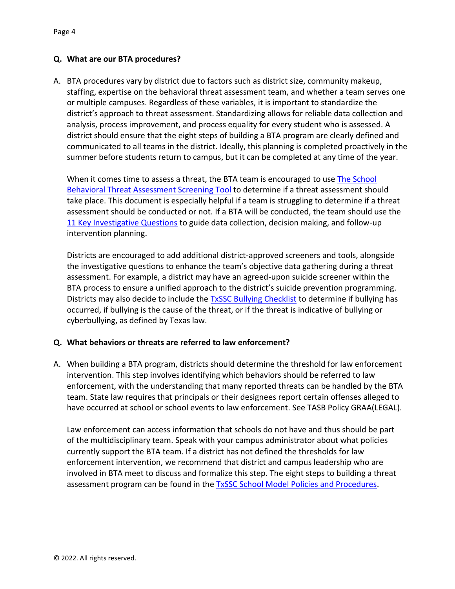### **Q. What are our BTA procedures?**

A. BTA procedures vary by district due to factors such as district size, community makeup, staffing, expertise on the behavioral threat assessment team, and whether a team serves one or multiple campuses. Regardless of these variables, it is important to standardize the district's approach to threat assessment. Standardizing allows for reliable data collection and analysis, process improvement, and process equality for every student who is assessed. A district should ensure that the eight steps of building a BTA program are clearly defined and communicated to all teams in the district. Ideally, this planning is completed proactively in the summer before students return to campus, but it can be completed at any time of the year.

When it comes time to assess a threat, the BTA team is encouraged to use The School [Behavioral Threat Assessment Screening Tool](https://locker.txssc.txstate.edu/dd38e149e33959e8e9cd3724d831f2aa/SBTA-Pre-Screener-Tool.pdf) to determine if a threat assessment should take place. This document is especially helpful if a team is struggling to determine if a threat assessment should be conducted or not. If a BTA will be conducted, the team should use the [11 Key Investigative Questions](https://locker.txssc.txstate.edu/f40474bcbab5f025bb1570f1bfbf9f06/11-Key-Questions.pdf) to guide data collection, decision making, and follow-up intervention planning.

Districts are encouraged to add additional district-approved screeners and tools, alongside the investigative questions to enhance the team's objective data gathering during a threat assessment. For example, a district may have an agreed-upon suicide screener within the BTA process to ensure a unified approach to the district's suicide prevention programming. Districts may also decide to include the [TxSSC Bullying Checklist](https://txssc.txstate.edu/videos/bullying-and-the-law/#checklist) to determine if bullying has occurred, if bullying is the cause of the threat, or if the threat is indicative of bullying or cyberbullying, as defined by Texas law.

### **Q. What behaviors or threats are referred to law enforcement?**

A. When building a BTA program, districts should determine the threshold for law enforcement intervention. This step involves identifying which behaviors should be referred to law enforcement, with the understanding that many reported threats can be handled by the BTA team. State law requires that principals or their designees report certain offenses alleged to have occurred at school or school events to law enforcement. See TASB Policy GRAA(LEGAL).

Law enforcement can access information that schools do not have and thus should be part of the multidisciplinary team. Speak with your campus administrator about what policies currently support the BTA team. If a district has not defined the thresholds for law enforcement intervention, we recommend that district and campus leadership who are involved in BTA meet to discuss and formalize this step. The eight steps to building a threat assessment program can be found in the **TxSSC School Model Policies and Procedures**.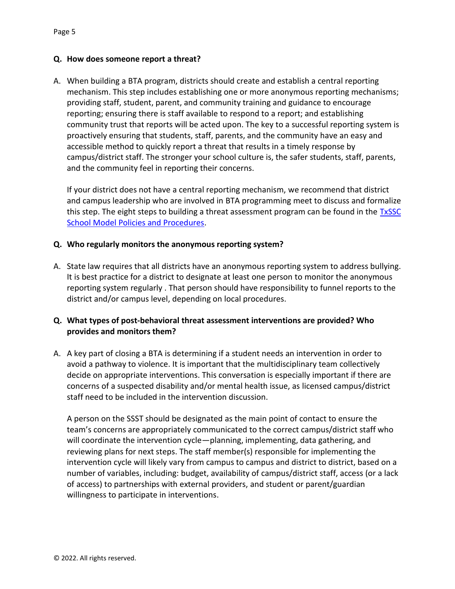#### **Q. How does someone report a threat?**

A. When building a BTA program, districts should create and establish a central reporting mechanism. This step includes establishing one or more anonymous reporting mechanisms; providing staff, student, parent, and community training and guidance to encourage reporting; ensuring there is staff available to respond to a report; and establishing community trust that reports will be acted upon. The key to a successful reporting system is proactively ensuring that students, staff, parents, and the community have an easy and accessible method to quickly report a threat that results in a timely response by campus/district staff. The stronger your school culture is, the safer students, staff, parents, and the community feel in reporting their concerns.

If your district does not have a central reporting mechanism, we recommend that district and campus leadership who are involved in BTA programming meet to discuss and formalize this step. The eight steps to building a threat assessment program can be found in the  $TxSSC$ [School Model Policies and Procedures.](https://locker.txssc.txstate.edu/f40474bcbab5f025bb1570f1bfbf9f06/Model-Policies-and-Procedures-to-Establish-and-Train-on-Threat-Assessment.pdf)

#### **Q. Who regularly monitors the anonymous reporting system?**

A. State law requires that all districts have an anonymous reporting system to address bullying. It is best practice for a district to designate at least one person to monitor the anonymous reporting system regularly . That person should have responsibility to funnel reports to the district and/or campus level, depending on local procedures.

### **Q. What types of post-behavioral threat assessment interventions are provided? Who provides and monitors them?**

A. A key part of closing a BTA is determining if a student needs an intervention in order to avoid a pathway to violence. It is important that the multidisciplinary team collectively decide on appropriate interventions. This conversation is especially important if there are concerns of a suspected disability and/or mental health issue, as licensed campus/district staff need to be included in the intervention discussion.

A person on the SSST should be designated as the main point of contact to ensure the team's concerns are appropriately communicated to the correct campus/district staff who will coordinate the intervention cycle—planning, implementing, data gathering, and reviewing plans for next steps. The staff member(s) responsible for implementing the intervention cycle will likely vary from campus to campus and district to district, based on a number of variables, including: budget, availability of campus/district staff, access (or a lack of access) to partnerships with external providers, and student or parent/guardian willingness to participate in interventions.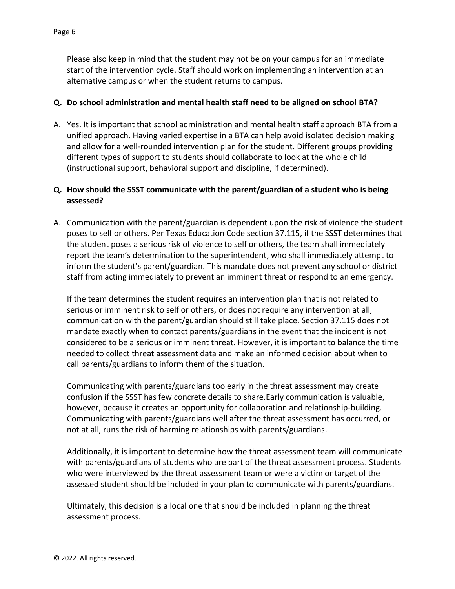Please also keep in mind that the student may not be on your campus for an immediate start of the intervention cycle. Staff should work on implementing an intervention at an alternative campus or when the student returns to campus.

### **Q. Do school administration and mental health staff need to be aligned on school BTA?**

A. Yes. It is important that school administration and mental health staff approach BTA from a unified approach. Having varied expertise in a BTA can help avoid isolated decision making and allow for a well-rounded intervention plan for the student. Different groups providing different types of support to students should collaborate to look at the whole child (instructional support, behavioral support and discipline, if determined).

## **Q. How should the SSST communicate with the parent/guardian of a student who is being assessed?**

A. Communication with the parent/guardian is dependent upon the risk of violence the student poses to self or others. Per Texas Education Code section 37.115, if the SSST determines that the student poses a serious risk of violence to self or others, the team shall immediately report the team's determination to the superintendent, who shall immediately attempt to inform the student's parent/guardian. This mandate does not prevent any school or district staff from acting immediately to prevent an imminent threat or respond to an emergency.

If the team determines the student requires an intervention plan that is not related to serious or imminent risk to self or others, or does not require any intervention at all, communication with the parent/guardian should still take place. Section 37.115 does not mandate exactly when to contact parents/guardians in the event that the incident is not considered to be a serious or imminent threat. However, it is important to balance the time needed to collect threat assessment data and make an informed decision about when to call parents/guardians to inform them of the situation.

Communicating with parents/guardians too early in the threat assessment may create confusion if the SSST has few concrete details to share.Early communication is valuable, however, because it creates an opportunity for collaboration and relationship-building. Communicating with parents/guardians well after the threat assessment has occurred, or not at all, runs the risk of harming relationships with parents/guardians.

Additionally, it is important to determine how the threat assessment team will communicate with parents/guardians of students who are part of the threat assessment process. Students who were interviewed by the threat assessment team or were a victim or target of the assessed student should be included in your plan to communicate with parents/guardians.

Ultimately, this decision is a local one that should be included in planning the threat assessment process.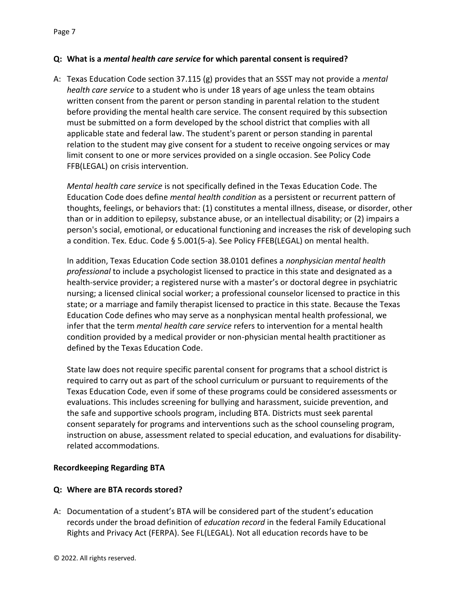### **Q: What is a** *mental health care service* **for which parental consent is required?**

A: Texas Education Code section 37.115 (g) provides that an SSST may not provide a *mental health care service* to a student who is under 18 years of age unless the team obtains written consent from the parent or person standing in parental relation to the student before providing the mental health care service. The consent required by this subsection must be submitted on a form developed by the school district that complies with all applicable state and federal law. The student's parent or person standing in parental relation to the student may give consent for a student to receive ongoing services or may limit consent to one or more services provided on a single occasion. See Policy Code FFB(LEGAL) on crisis intervention.

*Mental health care service* is not specifically defined in the Texas Education Code. The Education Code does define *mental health condition* as a persistent or recurrent pattern of thoughts, feelings, or behaviors that: (1) constitutes a mental illness, disease, or disorder, other than or in addition to epilepsy, substance abuse, or an intellectual disability; or (2) impairs a person's social, emotional, or educational functioning and increases the risk of developing such a condition. Tex. Educ. Code § 5.001(5-a). See Policy FFEB(LEGAL) on mental health.

In addition, Texas Education Code section 38.0101 defines a *nonphysician mental health professional* to include a psychologist licensed to practice in this state and designated as a health-service provider; a registered nurse with a master's or doctoral degree in psychiatric nursing; a licensed clinical social worker; a professional counselor licensed to practice in this state; or a marriage and family therapist licensed to practice in this state. Because the Texas Education Code defines who may serve as a nonphysican mental health professional, we infer that the term *mental health care service* refers to intervention for a mental health condition provided by a medical provider or non-physician mental health practitioner as defined by the Texas Education Code.

State law does not require specific parental consent for programs that a school district is required to carry out as part of the school curriculum or pursuant to requirements of the Texas Education Code, even if some of these programs could be considered assessments or evaluations. This includes screening for bullying and harassment, suicide prevention, and the safe and supportive schools program, including BTA. Districts must seek parental consent separately for programs and interventions such as the school counseling program, instruction on abuse, assessment related to special education, and evaluations for disabilityrelated accommodations.

### **Recordkeeping Regarding BTA**

### **Q: Where are BTA records stored?**

A: Documentation of a student's BTA will be considered part of the student's education records under the broad definition of *education record* in the federal Family Educational Rights and Privacy Act (FERPA). See FL(LEGAL). Not all education records have to be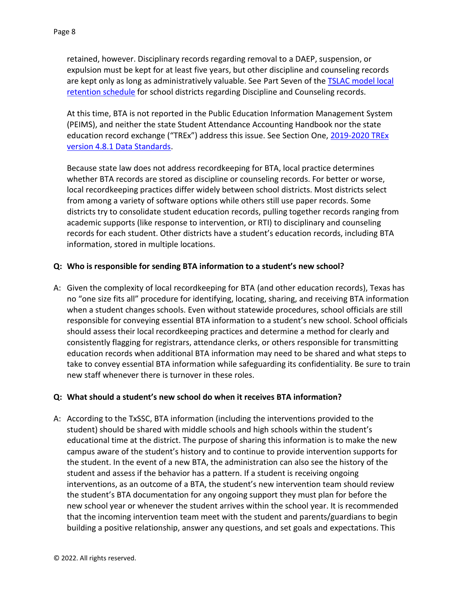retained, however. Disciplinary records regarding removal to a DAEP, suspension, or expulsion must be kept for at least five years, but other discipline and counseling records are kept only as long as administratively valuable. See Part Seven of the [TSLAC model local](https://www.tsl.texas.gov/sites/default/files/public/tslac/slrm/localretention/Schedule%20SD%203rd%20Edition%20-%20Effective%202018-05-23.pdf)  [retention schedule](https://www.tsl.texas.gov/sites/default/files/public/tslac/slrm/localretention/Schedule%20SD%203rd%20Edition%20-%20Effective%202018-05-23.pdf) for school districts regarding Discipline and Counseling records.

At this time, BTA is not reported in the Public Education Information Management System (PEIMS), and neither the state Student Attendance Accounting Handbook nor the state education record exchange ("TREx") address this issue. See Section One, 2019-2020 TREx [version 4.8.1 Data Standards.](https://tea.texas.gov/sites/default/files/2%20Version%204.8.1%20Section1%20Overview.pdf#:~:text=A%20high%20school%20transcript%20record,)%20for%20Grades%209%2D12)

Because state law does not address recordkeeping for BTA, local practice determines whether BTA records are stored as discipline or counseling records. For better or worse, local recordkeeping practices differ widely between school districts. Most districts select from among a variety of software options while others still use paper records. Some districts try to consolidate student education records, pulling together records ranging from academic supports (like response to intervention, or RTI) to disciplinary and counseling records for each student. Other districts have a student's education records, including BTA information, stored in multiple locations.

### **Q: Who is responsible for sending BTA information to a student's new school?**

A: Given the complexity of local recordkeeping for BTA (and other education records), Texas has no "one size fits all" procedure for identifying, locating, sharing, and receiving BTA information when a student changes schools. Even without statewide procedures, school officials are still responsible for conveying essential BTA information to a student's new school. School officials should assess their local recordkeeping practices and determine a method for clearly and consistently flagging for registrars, attendance clerks, or others responsible for transmitting education records when additional BTA information may need to be shared and what steps to take to convey essential BTA information while safeguarding its confidentiality. Be sure to train new staff whenever there is turnover in these roles.

### **Q: What should a student's new school do when it receives BTA information?**

A: According to the TxSSC, BTA information (including the interventions provided to the student) should be shared with middle schools and high schools within the student's educational time at the district. The purpose of sharing this information is to make the new campus aware of the student's history and to continue to provide intervention supports for the student. In the event of a new BTA, the administration can also see the history of the student and assess if the behavior has a pattern. If a student is receiving ongoing interventions, as an outcome of a BTA, the student's new intervention team should review the student's BTA documentation for any ongoing support they must plan for before the new school year or whenever the student arrives within the school year. It is recommended that the incoming intervention team meet with the student and parents/guardians to begin building a positive relationship, answer any questions, and set goals and expectations. This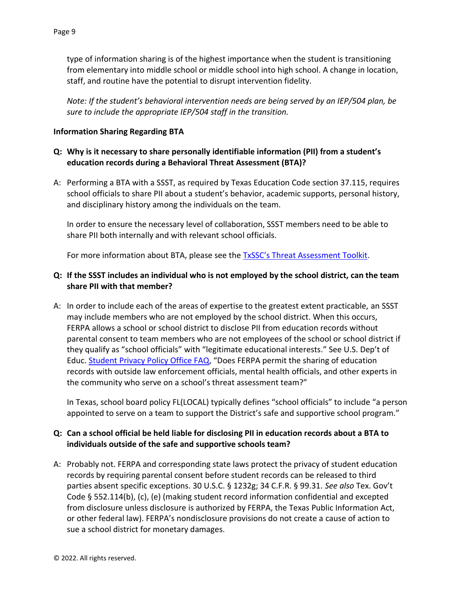type of information sharing is of the highest importance when the student is transitioning from elementary into middle school or middle school into high school. A change in location, staff, and routine have the potential to disrupt intervention fidelity.

*Note: If the student's behavioral intervention needs are being served by an IEP/504 plan, be sure to include the appropriate IEP/504 staff in the transition.*

#### **Information Sharing Regarding BTA**

## **Q: Why is it necessary to share personally identifiable information (PII) from a student's education records during a Behavioral Threat Assessment (BTA)?**

A: Performing a BTA with a SSST, as required by Texas Education Code section 37.115, requires school officials to share PII about a student's behavior, academic supports, personal history, and disciplinary history among the individuals on the team.

In order to ensure the necessary level of collaboration, SSST members need to be able to share PII both internally and with relevant school officials.

For more information about BTA, please see the **[TxSSC's Threat Assessment Toolkit](https://txssc.txstate.edu/tools/tam-toolkit/)**.

### **Q: If the SSST includes an individual who is not employed by the school district, can the team share PII with that member?**

A: In order to include each of the areas of expertise to the greatest extent practicable, an SSST may include members who are not employed by the school district. When this occurs, FERPA allows a school or school district to disclose PII from education records without parental consent to team members who are not employees of the school or school district if they qualify as "school officials" with "legitimate educational interests." See U.S. Dep't of Educ. **Student Privacy Policy Office FAQ**, "Does FERPA permit the sharing of education records with outside law enforcement officials, mental health officials, and other experts in the community who serve on a school's threat assessment team?"

In Texas, school board policy FL(LOCAL) typically defines "school officials" to include "a person appointed to serve on a team to support the District's safe and supportive school program."

### **Q: Can a school official be held liable for disclosing PII in education records about a BTA to individuals outside of the safe and supportive schools team?**

A: Probably not. FERPA and corresponding state laws protect the privacy of student education records by requiring parental consent before student records can be released to third parties absent specific exceptions. 30 U.S.C. § 1232g; 34 C.F.R. § 99.31. *See also* Tex. Gov't Code § 552.114(b), (c), (e) (making student record information confidential and excepted from disclosure unless disclosure is authorized by FERPA, the Texas Public Information Act, or other federal law). FERPA's nondisclosure provisions do not create a cause of action to sue a school district for monetary damages.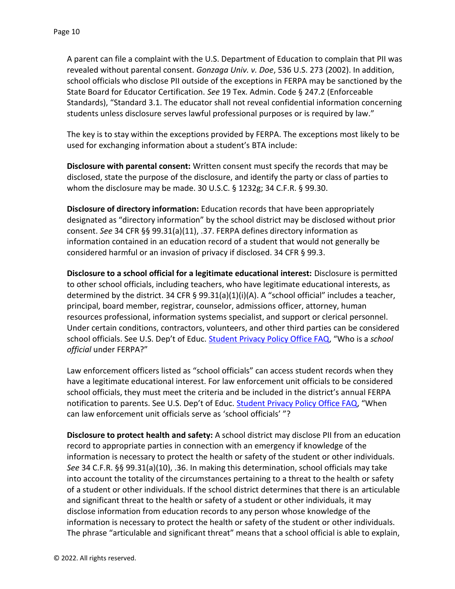A parent can file a complaint with the U.S. Department of Education to complain that PII was revealed without parental consent. *Gonzaga Univ. v. Doe*, 536 U.S. 273 (2002). In addition, school officials who disclose PII outside of the exceptions in FERPA may be sanctioned by the State Board for Educator Certification. *See* 19 Tex. Admin. Code § 247.2 (Enforceable Standards), "Standard 3.1. The educator shall not reveal confidential information concerning students unless disclosure serves lawful professional purposes or is required by law."

The key is to stay within the exceptions provided by FERPA. The exceptions most likely to be used for exchanging information about a student's BTA include:

**Disclosure with parental consent:** Written consent must specify the records that may be disclosed, state the purpose of the disclosure, and identify the party or class of parties to whom the disclosure may be made. 30 U.S.C. § 1232g; 34 C.F.R. § 99.30.

**Disclosure of directory information:** Education records that have been appropriately designated as "directory information" by the school district may be disclosed without prior consent. *See* 34 CFR §§ 99.31(a)(11), .37. FERPA defines directory information as information contained in an education record of a student that would not generally be considered harmful or an invasion of privacy if disclosed. 34 CFR § 99.3.

**Disclosure to a school official for a legitimate educational interest:** Disclosure is permitted to other school officials, including teachers, who have legitimate educational interests, as determined by the district. 34 CFR § 99.31(a)(1)(i)(A). A "school official" includes a teacher, principal, board member, registrar, counselor, admissions officer, attorney, human resources professional, information systems specialist, and support or clerical personnel. Under certain conditions, contractors, volunteers, and other third parties can be considered school officials. See U.S. Dep't of Educ. **[Student Privacy Policy Office FAQ](https://studentprivacy.ed.gov/faq/who-%E2%80%9Cschool-official%E2%80%9D-under-ferpa)**, "Who is a *school official* under FERPA?"

Law enforcement officers listed as "school officials" can access student records when they have a legitimate educational interest. For law enforcement unit officials to be considered school officials, they must meet the criteria and be included in the district's annual FERPA notification to parents. See U.S. Dep't of Educ. [Student Privacy Policy Office FAQ](https://studentprivacy.ed.gov/faq/when-can-law-enforcement-unit-officials-serve-%E2%80%9Cschool-officials%E2%80%9D), "When can law enforcement unit officials serve as 'school officials' "?

**Disclosure to protect health and safety:** A school district may disclose PII from an education record to appropriate parties in connection with an emergency if knowledge of the information is necessary to protect the health or safety of the student or other individuals. *See* 34 C.F.R. §§ 99.31(a)(10), .36. In making this determination, school officials may take into account the totality of the circumstances pertaining to a threat to the health or safety of a student or other individuals. If the school district determines that there is an articulable and significant threat to the health or safety of a student or other individuals, it may disclose information from education records to any person whose knowledge of the information is necessary to protect the health or safety of the student or other individuals. The phrase "articulable and significant threat" means that a school official is able to explain,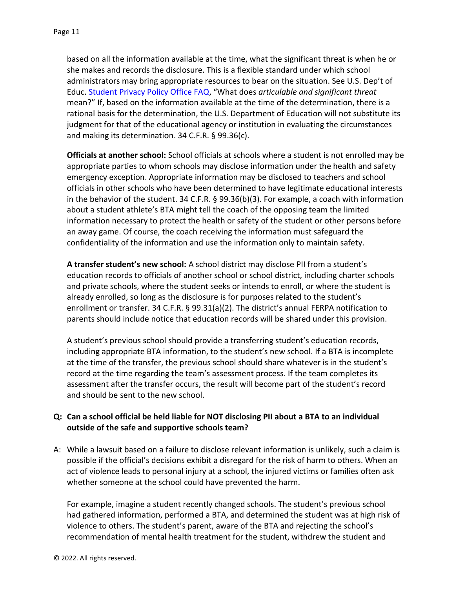based on all the information available at the time, what the significant threat is when he or she makes and records the disclosure. This is a flexible standard under which school administrators may bring appropriate resources to bear on the situation. See U.S. Dep't of Educ. [Student Privacy Policy Office FAQ](https://studentprivacy.ed.gov/faq/what-does-%E2%80%9Carticulable-and-significant-threat%E2%80%9D-mean), "What does *articulable and significant threat* mean?" If, based on the information available at the time of the determination, there is a rational basis for the determination, the U.S. Department of Education will not substitute its judgment for that of the educational agency or institution in evaluating the circumstances and making its determination. 34 C.F.R. § 99.36(c).

**Officials at another school:** School officials at schools where a student is not enrolled may be appropriate parties to whom schools may disclose information under the health and safety emergency exception. Appropriate information may be disclosed to teachers and school officials in other schools who have been determined to have legitimate educational interests in the behavior of the student. 34 C.F.R.  $\S$  99.36(b)(3). For example, a coach with information about a student athlete's BTA might tell the coach of the opposing team the limited information necessary to protect the health or safety of the student or other persons before an away game. Of course, the coach receiving the information must safeguard the confidentiality of the information and use the information only to maintain safety.

**A transfer student's new school:** A school district may disclose PII from a student's education records to officials of another school or school district, including charter schools and private schools, where the student seeks or intends to enroll, or where the student is already enrolled, so long as the disclosure is for purposes related to the student's enrollment or transfer. 34 C.F.R. § 99.31(a)(2). The district's annual FERPA notification to parents should include notice that education records will be shared under this provision.

A student's previous school should provide a transferring student's education records, including appropriate BTA information, to the student's new school. If a BTA is incomplete at the time of the transfer, the previous school should share whatever is in the student's record at the time regarding the team's assessment process. If the team completes its assessment after the transfer occurs, the result will become part of the student's record and should be sent to the new school.

## **Q: Can a school official be held liable for NOT disclosing PII about a BTA to an individual outside of the safe and supportive schools team?**

A: While a lawsuit based on a failure to disclose relevant information is unlikely, such a claim is possible if the official's decisions exhibit a disregard for the risk of harm to others. When an act of violence leads to personal injury at a school, the injured victims or families often ask whether someone at the school could have prevented the harm.

For example, imagine a student recently changed schools. The student's previous school had gathered information, performed a BTA, and determined the student was at high risk of violence to others. The student's parent, aware of the BTA and rejecting the school's recommendation of mental health treatment for the student, withdrew the student and